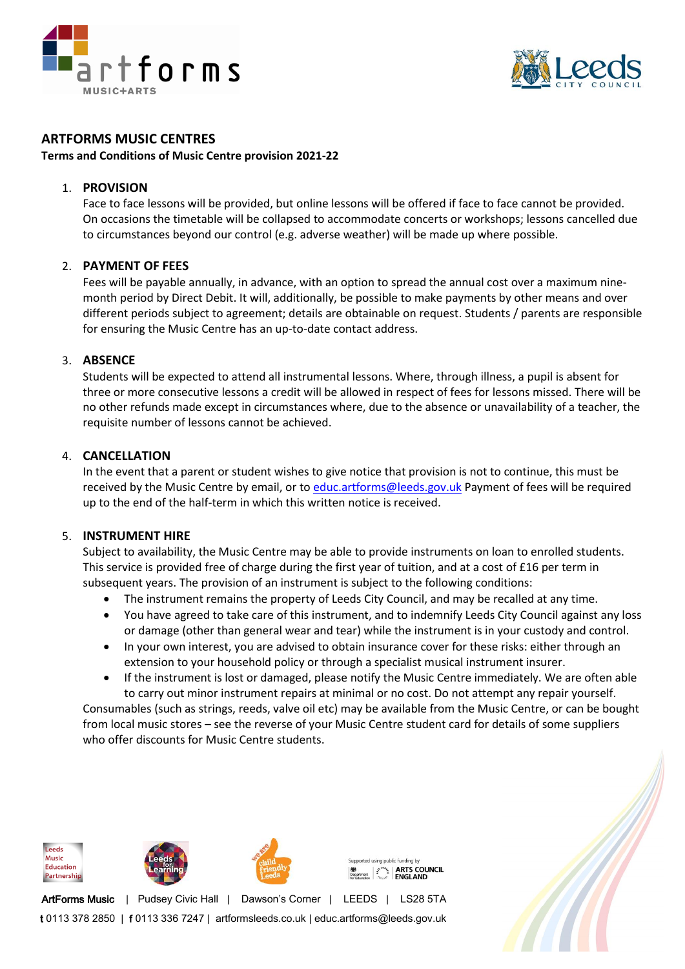



# **ARTFORMS MUSIC CENTRES**

**Terms and Conditions of Music Centre provision 2021-22**

## 1. **PROVISION**

Face to face lessons will be provided, but online lessons will be offered if face to face cannot be provided. On occasions the timetable will be collapsed to accommodate concerts or workshops; lessons cancelled due to circumstances beyond our control (e.g. adverse weather) will be made up where possible.

## 2. **PAYMENT OF FEES**

Fees will be payable annually, in advance, with an option to spread the annual cost over a maximum ninemonth period by Direct Debit. It will, additionally, be possible to make payments by other means and over different periods subject to agreement; details are obtainable on request. Students / parents are responsible for ensuring the Music Centre has an up-to-date contact address.

## 3. **ABSENCE**

Students will be expected to attend all instrumental lessons. Where, through illness, a pupil is absent for three or more consecutive lessons a credit will be allowed in respect of fees for lessons missed. There will be no other refunds made except in circumstances where, due to the absence or unavailability of a teacher, the requisite number of lessons cannot be achieved.

## 4. **CANCELLATION**

In the event that a parent or student wishes to give notice that provision is not to continue, this must be received by the Music Centre by email, or to [educ.artforms@leeds.gov.uk](mailto:educ.artforms@leeds.gov.uk) Payment of fees will be required up to the end of the half-term in which this written notice is received.

#### 5. **INSTRUMENT HIRE**

Subject to availability, the Music Centre may be able to provide instruments on loan to enrolled students. This service is provided free of charge during the first year of tuition, and at a cost of £16 per term in subsequent years. The provision of an instrument is subject to the following conditions:

- The instrument remains the property of Leeds City Council, and may be recalled at any time.
- You have agreed to take care of this instrument, and to indemnify Leeds City Council against any loss or damage (other than general wear and tear) while the instrument is in your custody and control.
- In your own interest, you are advised to obtain insurance cover for these risks: either through an extension to your household policy or through a specialist musical instrument insurer.
- If the instrument is lost or damaged, please notify the Music Centre immediately. We are often able to carry out minor instrument repairs at minimal or no cost. Do not attempt any repair yourself.

Consumables (such as strings, reeds, valve oil etc) may be available from the Music Centre, or can be bought from local music stores – see the reverse of your Music Centre student card for details of some suppliers who offer discounts for Music Centre students.